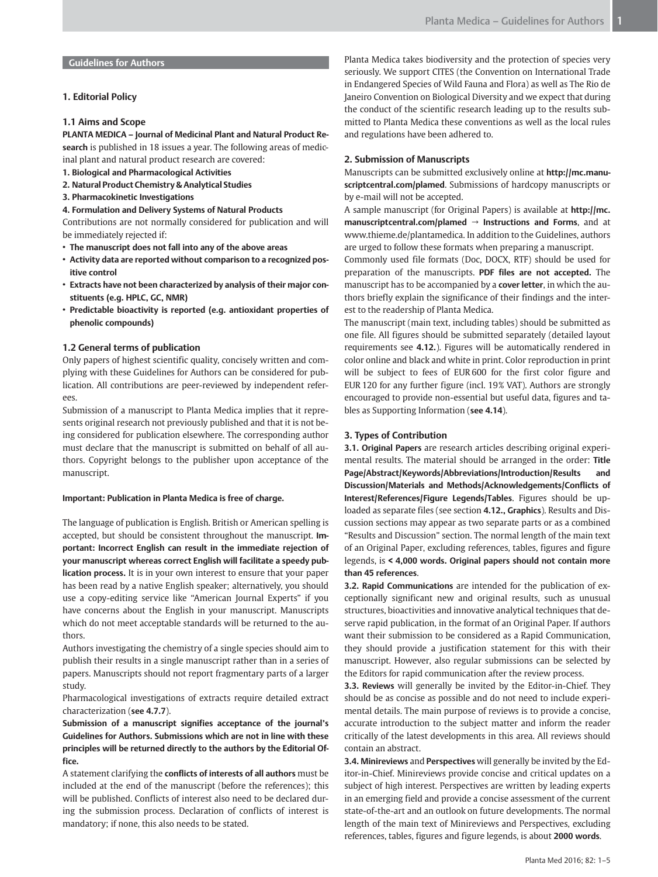# Guidelines for Authors

## 1. Editorial Policy

## 1.1 Aims and Scope

PLANTA MEDICA – Journal of Medicinal Plant and Natural Product Research is published in 18 issues a year. The following areas of medicinal plant and natural product research are covered:

- 1. Biological and Pharmacological Activities
- 2. Natural Product Chemistry & Analytical Studies
- 3. Pharmacokinetic Investigations
- 4. Formulation and Delivery Systems of Natural Products

Contributions are not normally considered for publication and will be immediately rejected if:

- The manuscript does not fall into any of the above areas
- Activity data are reported without comparison to a recognized positive control
- Extracts have not been characterized by analysis of their major constituents (e.g. HPLC, GC, NMR)
- Predictable bioactivity is reported (e.g. antioxidant properties of phenolic compounds)

# 1.2 General terms of publication

Only papers of highest scientific quality, concisely written and complying with these Guidelines for Authors can be considered for publication. All contributions are peer-reviewed by independent referees.

Submission of a manuscript to Planta Medica implies that it represents original research not previously published and that it is not being considered for publication elsewhere. The corresponding author must declare that the manuscript is submitted on behalf of all authors. Copyright belongs to the publisher upon acceptance of the manuscript.

### Important: Publication in Planta Medica is free of charge.

The language of publication is English. British or American spelling is accepted, but should be consistent throughout the manuscript. Important: Incorrect English can result in the immediate rejection of your manuscript whereas correct English will facilitate a speedy publication process. It is in your own interest to ensure that your paper has been read by a native English speaker; alternatively, you should use a copy-editing service like "American Journal Experts" if you have concerns about the English in your manuscript. Manuscripts which do not meet acceptable standards will be returned to the authors.

Authors investigating the chemistry of a single species should aim to publish their results in a single manuscript rather than in a series of papers. Manuscripts should not report fragmentary parts of a larger study.

Pharmacological investigations of extracts require detailed extract characterization (see 4.7.7).

Submission of a manuscript signifies acceptance of the journal's Guidelines for Authors. Submissions which are not in line with these principles will be returned directly to the authors by the Editorial Office.

A statement clarifying the conflicts of interests of all authors must be included at the end of the manuscript (before the references); this will be published. Conflicts of interest also need to be declared during the submission process. Declaration of conflicts of interest is mandatory; if none, this also needs to be stated.

Planta Medica takes biodiversity and the protection of species very seriously. We support CITES (the Convention on International Trade in Endangered Species of Wild Fauna and Flora) as well as The Rio de Janeiro Convention on Biological Diversity and we expect that during the conduct of the scientific research leading up to the results submitted to Planta Medica these conventions as well as the local rules and regulations have been adhered to.

## 2. Submission of Manuscripts

Manuscripts can be submitted exclusively online at http://mc.manuscriptcentral.com/plamed. Submissions of hardcopy manuscripts or by e-mail will not be accepted.

A sample manuscript (for Original Papers) is available at http://mc. manuscriptcentral.com/plamed → Instructions and Forms, and at www.thieme.de/plantamedica. In addition to the Guidelines, authors are urged to follow these formats when preparing a manuscript.

Commonly used file formats (Doc, DOCX, RTF) should be used for preparation of the manuscripts. PDF files are not accepted. The manuscript has to be accompanied by a cover letter, in which the authors briefly explain the significance of their findings and the interest to the readership of Planta Medica.

The manuscript (main text, including tables) should be submitted as one file. All figures should be submitted separately (detailed layout requirements see 4.12.). Figures will be automatically rendered in color online and black and white in print. Color reproduction in print will be subject to fees of EUR 600 for the first color figure and EUR 120 for any further figure (incl. 19% VAT). Authors are strongly encouraged to provide non-essential but useful data, figures and tables as Supporting Information (see 4.14).

### 3. Types of Contribution

3.1. Original Papers are research articles describing original experimental results. The material should be arranged in the order: Title Page/Abstract/Keywords/Abbreviations/Introduction/Results and Discussion/Materials and Methods/Acknowledgements/Conflicts of Interest/References/Figure Legends/Tables. Figures should be uploaded as separate files (see section **4.12., Graphics**). Results and Discussion sections may appear as two separate parts or as a combined "Results and Discussion" section. The normal length of the main text of an Original Paper, excluding references, tables, figures and figure legends, is < 4,000 words. Original papers should not contain more than 45 references.

3.2. Rapid Communications are intended for the publication of exceptionally significant new and original results, such as unusual structures, bioactivities and innovative analytical techniques that deserve rapid publication, in the format of an Original Paper. If authors want their submission to be considered as a Rapid Communication, they should provide a justification statement for this with their manuscript. However, also regular submissions can be selected by the Editors for rapid communication after the review process.

**3.3. Reviews** will generally be invited by the Editor-in-Chief. They should be as concise as possible and do not need to include experimental details. The main purpose of reviews is to provide a concise, accurate introduction to the subject matter and inform the reader critically of the latest developments in this area. All reviews should contain an abstract.

3.4. Minireviews and Perspectives will generally be invited by the Editor-in-Chief. Minireviews provide concise and critical updates on a subject of high interest. Perspectives are written by leading experts in an emerging field and provide a concise assessment of the current state-of-the-art and an outlook on future developments. The normal length of the main text of Minireviews and Perspectives, excluding references, tables, figures and figure legends, is about 2000 words.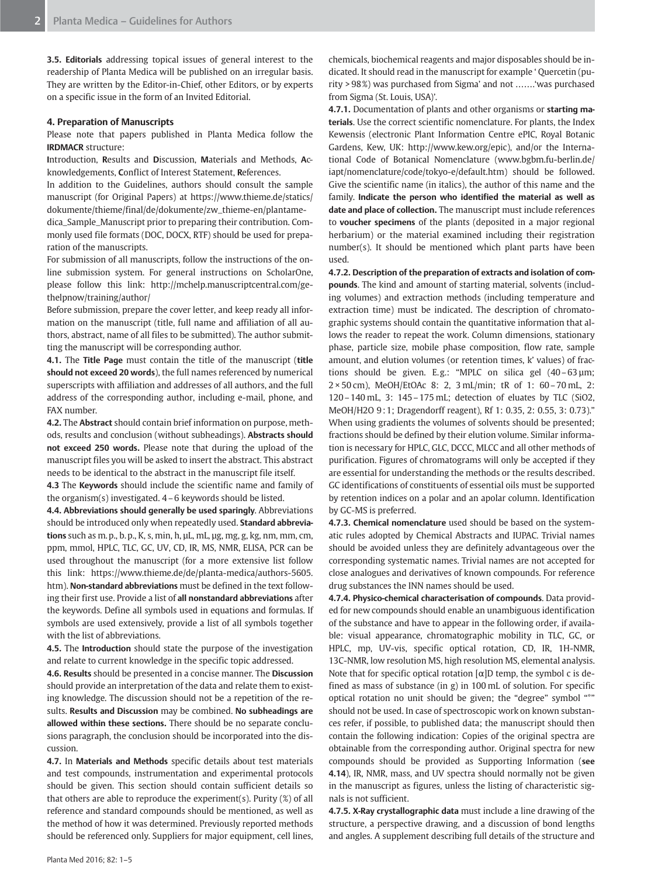3.5. Editorials addressing topical issues of general interest to the readership of Planta Medica will be published on an irregular basis. They are written by the Editor-in-Chief, other Editors, or by experts on a specific issue in the form of an Invited Editorial.

## 4. Preparation of Manuscripts

Please note that papers published in Planta Medica follow the IRDMACR structure:

Introduction, Results and Discussion, Materials and Methods, Acknowledgements, Conflict of Interest Statement, References.

In addition to the Guidelines, authors should consult the sample manuscript (for Original Papers) at https://www.thieme.de/statics/ dokumente/thieme/final/de/dokumente/zw\_thieme-en/plantamedica\_Sample\_Manuscript prior to preparing their contribution. Commonly used file formats (DOC, DOCX, RTF) should be used for preparation of the manuscripts.

For submission of all manuscripts, follow the instructions of the online submission system. For general instructions on ScholarOne, please follow this link: http://mchelp.manuscriptcentral.com/gethelpnow/training/author/

Before submission, prepare the cover letter, and keep ready all information on the manuscript (title, full name and affiliation of all authors, abstract, name of all files to be submitted). The author submitting the manuscript will be corresponding author.

4.1. The Title Page must contain the title of the manuscript (title should not exceed 20 words), the full names referenced by numerical superscripts with affiliation and addresses of all authors, and the full address of the corresponding author, including e-mail, phone, and FAX number.

4.2. The Abstract should contain brief information on purpose, methods, results and conclusion (without subheadings). Abstracts should not exceed 250 words. Please note that during the upload of the manuscript files you will be asked to insert the abstract. This abstract needs to be identical to the abstract in the manuscript file itself.

4.3 The Keywords should include the scientific name and family of the organism(s) investigated. 4–6 keywords should be listed.

4.4. Abbreviations should generally be used sparingly. Abbreviations should be introduced only when repeatedly used. Standard abbreviations such as m. p., b. p., K, s, min, h, µL, mL, µg, mg, g, kg, nm, mm, cm, ppm, mmol, HPLC, TLC, GC, UV, CD, IR, MS, NMR, ELISA, PCR can be used throughout the manuscript (for a more extensive list follow this link: https://www.thieme.de/de/planta-medica/authors-5605. htm). Non-standard abbreviations must be defined in the text following their first use. Provide a list of all nonstandard abbreviations after the keywords. Define all symbols used in equations and formulas. If symbols are used extensively, provide a list of all symbols together with the list of abbreviations.

4.5. The Introduction should state the purpose of the investigation and relate to current knowledge in the specific topic addressed.

4.6. Results should be presented in a concise manner. The Discussion should provide an interpretation of the data and relate them to existing knowledge. The discussion should not be a repetition of the results. Results and Discussion may be combined. No subheadings are allowed within these sections. There should be no separate conclusions paragraph, the conclusion should be incorporated into the discussion.

4.7. In Materials and Methods specific details about test materials and test compounds, instrumentation and experimental protocols should be given. This section should contain sufficient details so that others are able to reproduce the experiment(s). Purity  $(\%)$  of all reference and standard compounds should be mentioned, as well as the method of how it was determined. Previously reported methods should be referenced only. Suppliers for major equipment, cell lines,

chemicals, biochemical reagents and major disposables should be indicated. It should read in the manuscript for example ' Quercetin (purity > 98%) was purchased from Sigma' and not …….'was purchased from Sigma (St. Louis, USA)'.

4.7.1. Documentation of plants and other organisms or starting materials. Use the correct scientific nomenclature. For plants, the Index Kewensis (electronic Plant Information Centre ePIC, Royal Botanic Gardens, Kew, UK: http://www.kew.org/epic), and/or the International Code of Botanical Nomenclature (www.bgbm.fu-berlin.de/ iapt/nomenclature/code/tokyo-e/default.htm) should be followed. Give the scientific name (in italics), the author of this name and the family. Indicate the person who identified the material as well as date and place of collection. The manuscript must include references to voucher specimens of the plants (deposited in a major regional herbarium) or the material examined including their registration number(s). It should be mentioned which plant parts have been used.

4.7.2. Description of the preparation of extracts and isolation of compounds. The kind and amount of starting material, solvents (including volumes) and extraction methods (including temperature and extraction time) must be indicated. The description of chromatographic systems should contain the quantitative information that allows the reader to repeat the work. Column dimensions, stationary phase, particle size, mobile phase composition, flow rate, sample amount, and elution volumes (or retention times, k' values) of fractions should be given. E.g.: "MPLC on silica gel  $(40-63 \,\mu m;$ 2 × 50 cm), MeOH/EtOAc 8: 2, 3 mL/min; tR of 1: 60–70 mL, 2: 120–140 mL, 3: 145–175 mL; detection of eluates by TLC (SiO2, MeOH/H2O 9 : 1; Dragendorff reagent), Rf 1: 0.35, 2: 0.55, 3: 0.73)." When using gradients the volumes of solvents should be presented; fractions should be defined by their elution volume. Similar information is necessary for HPLC, GLC, DCCC, MLCC and all other methods of purification. Figures of chromatograms will only be accepted if they are essential for understanding the methods or the results described. GC identifications of constituents of essential oils must be supported by retention indices on a polar and an apolar column. Identification by GC‑MS is preferred.

4.7.3. Chemical nomenclature used should be based on the systematic rules adopted by Chemical Abstracts and IUPAC. Trivial names should be avoided unless they are definitely advantageous over the corresponding systematic names. Trivial names are not accepted for close analogues and derivatives of known compounds. For reference drug substances the INN names should be used.

4.7.4. Physico-chemical characterisation of compounds. Data provided for new compounds should enable an unambiguous identification of the substance and have to appear in the following order, if available: visual appearance, chromatographic mobility in TLC, GC, or HPLC, mp, UV-vis, specific optical rotation, CD, IR, 1H-NMR, 13C‑NMR, low resolution MS, high resolution MS, elemental analysis. Note that for specific optical rotation  $[α]D$  temp, the symbol c is defined as mass of substance (in g) in 100 mL of solution. For specific optical rotation no unit should be given; the "degree" symbol "°" should not be used. In case of spectroscopic work on known substances refer, if possible, to published data; the manuscript should then contain the following indication: Copies of the original spectra are obtainable from the corresponding author. Original spectra for new compounds should be provided as Supporting Information (see 4.14), IR, NMR, mass, and UV spectra should normally not be given in the manuscript as figures, unless the listing of characteristic signals is not sufficient.

4.7.5. X-Ray crystallographic data must include a line drawing of the structure, a perspective drawing, and a discussion of bond lengths and angles. A supplement describing full details of the structure and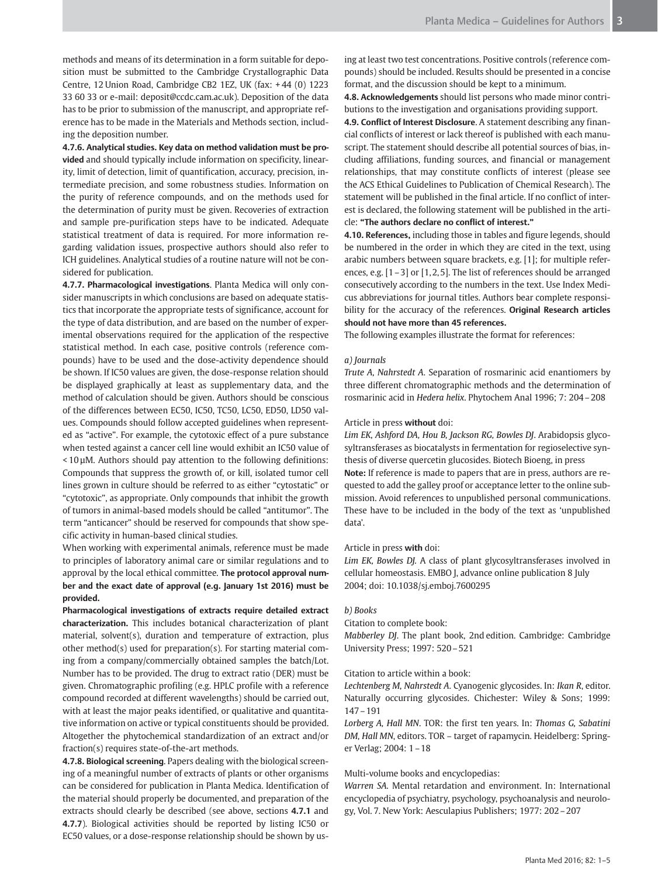methods and means of its determination in a form suitable for deposition must be submitted to the Cambridge Crystallographic Data Centre, 12 Union Road, Cambridge CB2 1EZ, UK (fax: + 44 (0) 1223 33 60 33 or e-mail: deposit@ccdc.cam.ac.uk). Deposition of the data has to be prior to submission of the manuscript, and appropriate reference has to be made in the Materials and Methods section, including the deposition number.

4.7.6. Analytical studies. Key data on method validation must be provided and should typically include information on specificity, linearity, limit of detection, limit of quantification, accuracy, precision, intermediate precision, and some robustness studies. Information on the purity of reference compounds, and on the methods used for the determination of purity must be given. Recoveries of extraction and sample pre-purification steps have to be indicated. Adequate statistical treatment of data is required. For more information regarding validation issues, prospective authors should also refer to ICH guidelines. Analytical studies of a routine nature will not be considered for publication.

4.7.7. Pharmacological investigations. Planta Medica will only consider manuscripts in which conclusions are based on adequate statistics that incorporate the appropriate tests of significance, account for the type of data distribution, and are based on the number of experimental observations required for the application of the respective statistical method. In each case, positive controls (reference compounds) have to be used and the dose-activity dependence should be shown. If IC50 values are given, the dose-response relation should be displayed graphically at least as supplementary data, and the method of calculation should be given. Authors should be conscious of the differences between EC50, IC50, TC50, LC50, ED50, LD50 values. Compounds should follow accepted guidelines when represented as "active". For example, the cytotoxic effect of a pure substance when tested against a cancer cell line would exhibit an IC50 value of < 10 µM. Authors should pay attention to the following definitions: Compounds that suppress the growth of, or kill, isolated tumor cell lines grown in culture should be referred to as either "cytostatic" or "cytotoxic", as appropriate. Only compounds that inhibit the growth of tumors in animal-based models should be called "antitumor". The term "anticancer" should be reserved for compounds that show specific activity in human-based clinical studies.

When working with experimental animals, reference must be made to principles of laboratory animal care or similar regulations and to approval by the local ethical committee. The protocol approval number and the exact date of approval (e.g. January 1st 2016) must be provided.

Pharmacological investigations of extracts require detailed extract characterization. This includes botanical characterization of plant material, solvent(s), duration and temperature of extraction, plus other method(s) used for preparation(s). For starting material coming from a company/commercially obtained samples the batch/Lot. Number has to be provided. The drug to extract ratio (DER) must be given. Chromatographic profiling (e.g. HPLC profile with a reference compound recorded at different wavelengths) should be carried out, with at least the major peaks identified, or qualitative and quantitative information on active or typical constituents should be provided. Altogether the phytochemical standardization of an extract and/or fraction(s) requires state-of-the-art methods.

4.7.8. Biological screening. Papers dealing with the biological screening of a meaningful number of extracts of plants or other organisms can be considered for publication in Planta Medica. Identification of the material should properly be documented, and preparation of the extracts should clearly be described (see above, sections 4.7.1 and 4.7.7). Biological activities should be reported by listing IC50 or EC50 values, or a dose-response relationship should be shown by using at least two test concentrations. Positive controls (reference compounds) should be included. Results should be presented in a concise format, and the discussion should be kept to a minimum.

4.8. Acknowledgements should list persons who made minor contributions to the investigation and organisations providing support.

4.9. Conflict of Interest Disclosure. A statement describing any financial conflicts of interest or lack thereof is published with each manuscript. The statement should describe all potential sources of bias, including affiliations, funding sources, and financial or management relationships, that may constitute conflicts of interest (please see the ACS Ethical Guidelines to Publication of Chemical Research). The statement will be published in the final article. If no conflict of interest is declared, the following statement will be published in the article: "The authors declare no conflict of interest."

4.10. References, including those in tables and figure legends, should be numbered in the order in which they are cited in the text, using arabic numbers between square brackets, e.g. [1]; for multiple references, e.g. [1-3] or [1,2,5]. The list of references should be arranged consecutively according to the numbers in the text. Use Index Medicus abbreviations for journal titles. Authors bear complete responsibility for the accuracy of the references. Original Research articles should not have more than 45 references.

The following examples illustrate the format for references:

### a) Journals

Trute A, Nahrstedt A. Separation of rosmarinic acid enantiomers by three different chromatographic methods and the determination of rosmarinic acid in Hedera helix. Phytochem Anal 1996; 7: 204–208

#### Article in press without doi:

Lim EK, Ashford DA, Hou B, Jackson RG, Bowles DJ. Arabidopsis glycosyltransferases as biocatalysts in fermentation for regioselective synthesis of diverse quercetin glucosides. Biotech Bioeng, in press Note: If reference is made to papers that are in press, authors are requested to add the galley proof or acceptance letter to the online submission. Avoid references to unpublished personal communications. These have to be included in the body of the text as 'unpublished data'.

#### Article in press with doi:

Lim EK, Bowles DJ. A class of plant glycosyltransferases involved in cellular homeostasis. EMBO J, advance online publication 8 July 2004; doi: 10.1038/sj.emboj.7600295

### b) Books

Citation to complete book:

Mabberley DJ. The plant book, 2nd edition. Cambridge: Cambridge University Press; 1997: 520–521

## Citation to article within a book:

Lechtenberg M, Nahrstedt A. Cyanogenic glycosides. In: Ikan R, editor. Naturally occurring glycosides. Chichester: Wiley & Sons; 1999: 147–191

Lorberg A, Hall MN. TOR: the first ten years. In: Thomas G, Sabatini DM, Hall MN, editors. TOR – target of rapamycin. Heidelberg: Springer Verlag; 2004: 1–18

## Multi-volume books and encyclopedias:

Warren SA. Mental retardation and environment. In: International encyclopedia of psychiatry, psychology, psychoanalysis and neurology, Vol. 7. New York: Aesculapius Publishers; 1977: 202–207